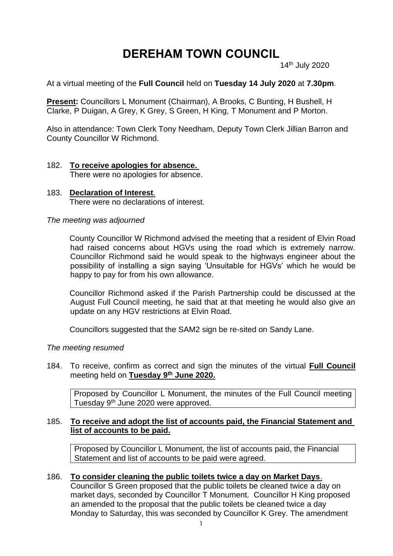# **DEREHAM TOWN COUNCIL**

 $14$ 14<sup>th</sup> July 2020

#### At a virtual meeting of the **Full Council** held on **Tuesday 14 July 2020** at **7.30pm**.

**Present:** Councillors L Monument (Chairman), A Brooks, C Bunting, H Bushell, H Clarke, P Duigan, A Grey, K Grey, S Green, H King, T Monument and P Morton.

Also in attendance: Town Clerk Tony Needham, Deputy Town Clerk Jillian Barron and County Councillor W Richmond.

#### 182. **To receive apologies for absence.** There were no apologies for absence.

183. **Declaration of Interest**. There were no declarations of interest.

#### *The meeting was adjourned*

County Councillor W Richmond advised the meeting that a resident of Elvin Road had raised concerns about HGVs using the road which is extremely narrow. Councillor Richmond said he would speak to the highways engineer about the possibility of installing a sign saying 'Unsuitable for HGVs' which he would be happy to pay for from his own allowance.

Councillor Richmond asked if the Parish Partnership could be discussed at the August Full Council meeting, he said that at that meeting he would also give an update on any HGV restrictions at Elvin Road.

Councillors suggested that the SAM2 sign be re-sited on Sandy Lane.

#### *The meeting resumed*

184. To receive, confirm as correct and sign the minutes of the virtual **Full Council**  meeting held on **Tuesday 9th June 2020.**

Proposed by Councillor L Monument, the minutes of the Full Council meeting Tuesday 9th June 2020 were approved.

#### 185. **To receive and adopt the list of accounts paid, the Financial Statement and list of accounts to be paid.**

Proposed by Councillor L Monument, the list of accounts paid, the Financial Statement and list of accounts to be paid were agreed.

#### 186. **To consider cleaning the public toilets twice a day on Market Days**.

Councillor S Green proposed that the public toilets be cleaned twice a day on market days, seconded by Councillor T Monument. Councillor H King proposed an amended to the proposal that the public toilets be cleaned twice a day Monday to Saturday, this was seconded by Councillor K Grey. The amendment